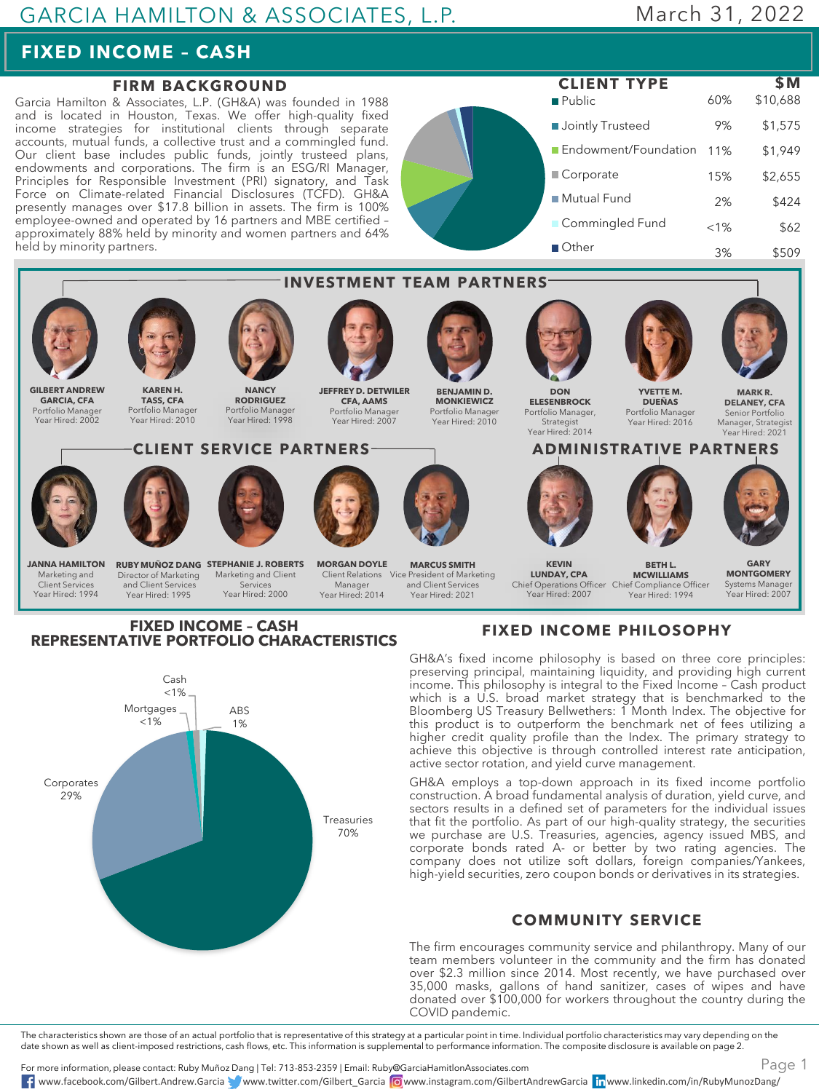### GARCIA HAMILTON & ASSOCIATES, L.P.

# March 31, 2022

## **FIXED INCOME – CASH**

### **FIRM BACKGROUND**

Garcia Hamilton & Associates, L.P. (GH&A) was founded in 1988 and is located in Houston, Texas. We offer high-quality fixed income strategies for institutional clients through separate accounts, mutual funds, a collective trust and a commingled fund. Our client base includes public funds, jointly trusteed plans, endowments and corporations. The firm is an ESG/RI Manager, Principles for Responsible Investment (PRI) signatory, and Task Force on Climate-related Financial Disclosures (TCFD). GH&A presently manages over \$17.8 billion in assets. The firm is 100% employee-owned and operated by 16 partners and MBE certified – approximately 88% held by minority and women partners and 64% held by minority partners.

**Public Jointly Trusteed** Endowment/Foundation 11% Corporate ■ Mutual Fund **Commingled Fund** Other **CLIENT TYPE \$M** 60% \$10,688 9% \$1,575 \$1,949 15% \$2,655 2% \$424  $< 1\%$  \$62 3% \$509



#### **FIXED INCOME – CASH REPRESENTATIVE PORTFOLIO CHARACTERISTICS**



### **FIXED INCOME PHILOSOPHY**

GH&A's fixed income philosophy is based on three core principles: preserving principal, maintaining liquidity, and providing high current income. This philosophy is integral to the Fixed Income – Cash product which is a U.S. broad market strategy that is benchmarked to the Bloomberg US Treasury Bellwethers: 1 Month Index. The objective for this product is to outperform the benchmark net of fees utilizing a higher credit quality profile than the Index. The primary strategy to achieve this objective is through controlled interest rate anticipation, active sector rotation, and yield curve management.

GH&A employs a top-down approach in its fixed income portfolio construction. A broad fundamental analysis of duration, yield curve, and sectors results in a defined set of parameters for the individual issues that fit the portfolio. As part of our high-quality strategy, the securities we purchase are U.S. Treasuries, agencies, agency issued MBS, and corporate bonds rated A- or better by two rating agencies. The company does not utilize soft dollars, foreign companies/Yankees, high-yield securities, zero coupon bonds or derivatives in its strategies.

#### **COMMUNITY SERVICE**

The firm encourages community service and philanthropy. Many of our team members volunteer in the community and the firm has donated over \$2.3 million since 2014. Most recently, we have purchased over 35,000 masks, gallons of hand sanitizer, cases of wipes and have donated over \$100,000 for workers throughout the country during the COVID pandemic.

The characteristics shown are those of an actual portfolio that is representative of this strategy at a particular point in time. Individual portfolio characteristics may vary depending on the date shown as well as client-imposed restrictions, cash flows, etc. This information is supplemental to performance information. The composite disclosure is available on page 2.

For more information, please contact: Ruby Muñoz Dang | Tel: 713-853-2359 | Email: Ruby@GarciaHamitlonAssociates.com www.facebook.com/Gilbert.Andrew.Garcia www.twitter.com/Gilbert\_Garcia www.instagram.com/GilbertAndrewGarcia www.linkedin.com/in/RubyMunozDang/